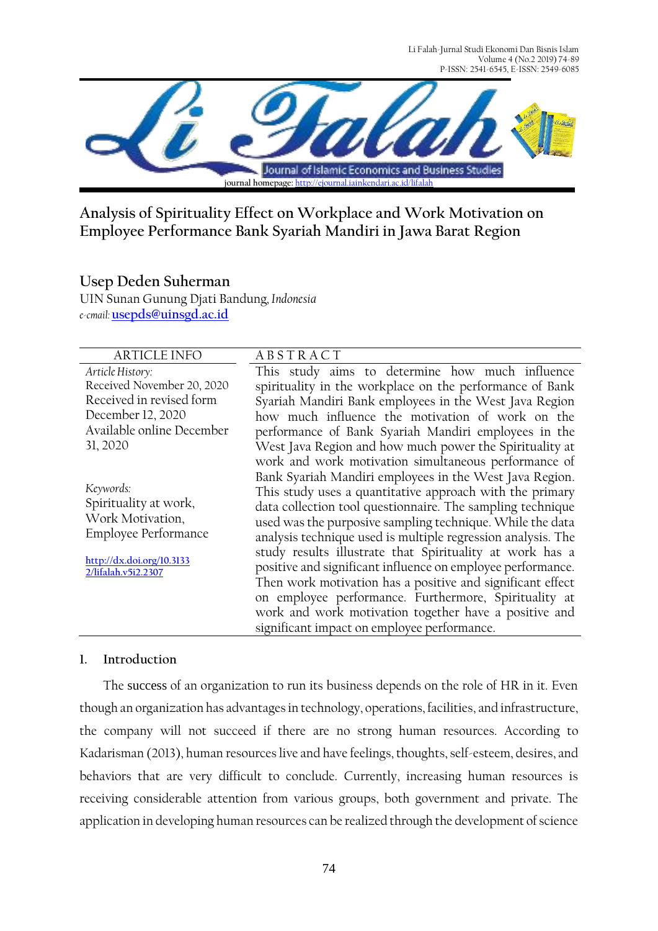Li Falah-Jurnal Studi Ekonomi Dan Bisnis Islam Volume 4 (No.2 2019) 74-89 P-ISSN: 2541-6545, E-ISSN: 2549-6085



**Analysis of Spirituality Effect on Workplace and Work Motivation on Employee Performance Bank Syariah Mandiri in Jawa Barat Region**

# **Usep Deden Suherman**

UIN Sunan Gunung Djati Bandung*, Indonesia e-cmail:* **[usepds@uinsgd.ac.id](mailto:usepds@uinsgd.ac.id)**

## ARTICLE INFO A B S T R A C T

*Article History:* Received November 20, 2020 Received in revised form December 12, 2020 Available online December 31, 2020

*Keywords:*  Spirituality at work, Work Motivation, Employee Performance

**[http://dx.doi.org/10.3133](http://dx.doi.org/10.31332/lifalah.v5i2.2307) [2/lifalah.v5i2.2307](http://dx.doi.org/10.31332/lifalah.v5i2.2307)**

This study aims to determine how much influence spirituality in the workplace on the performance of Bank Syariah Mandiri Bank employees in the West Java Region how much influence the motivation of work on the performance of Bank Syariah Mandiri employees in the West Java Region and how much power the Spirituality at work and work motivation simultaneous performance of Bank Syariah Mandiri employees in the West Java Region. This study uses a quantitative approach with the primary data collection tool questionnaire. The sampling technique used was the purposive sampling technique. While the data analysis technique used is multiple regression analysis. The study results illustrate that Spirituality at work has a positive and significant influence on employee performance. Then work motivation has a positive and significant effect on employee performance. Furthermore, Spirituality at work and work motivation together have a positive and significant impact on employee performance.

## **1. Introduction**

The success of an organization to run its business depends on the role of HR in it. Even though an organization has advantages in technology, operations, facilities, and infrastructure, the company will not succeed if there are no strong human resources. According to Kadarisman (2013), human resources live and have feelings, thoughts, self-esteem, desires, and behaviors that are very difficult to conclude. Currently, increasing human resources is receiving considerable attention from various groups, both government and private. The application in developing human resources can be realized through the development of science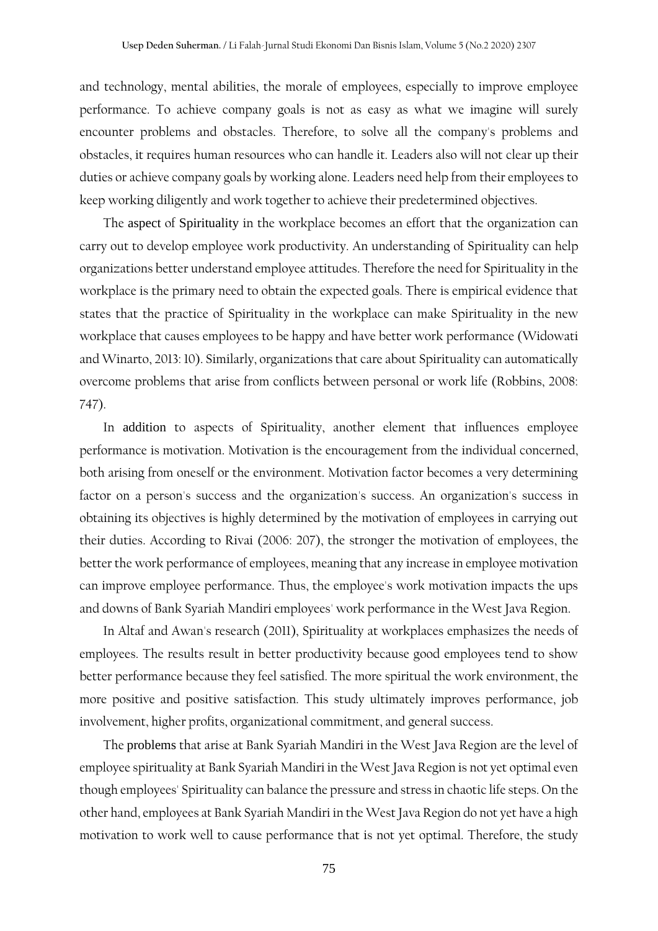and technology, mental abilities, the morale of employees, especially to improve employee performance. To achieve company goals is not as easy as what we imagine will surely encounter problems and obstacles. Therefore, to solve all the company's problems and obstacles, it requires human resources who can handle it. Leaders also will not clear up their duties or achieve company goals by working alone. Leaders need help from their employees to keep working diligently and work together to achieve their predetermined objectives.

The aspect of Spirituality in the workplace becomes an effort that the organization can carry out to develop employee work productivity. An understanding of Spirituality can help organizations better understand employee attitudes. Therefore the need for Spirituality in the workplace is the primary need to obtain the expected goals. There is empirical evidence that states that the practice of Spirituality in the workplace can make Spirituality in the new workplace that causes employees to be happy and have better work performance (Widowati and Winarto, 2013: 10). Similarly, organizations that care about Spirituality can automatically overcome problems that arise from conflicts between personal or work life (Robbins, 2008: 747).

In addition to aspects of Spirituality, another element that influences employee performance is motivation. Motivation is the encouragement from the individual concerned, both arising from oneself or the environment. Motivation factor becomes a very determining factor on a person's success and the organization's success. An organization's success in obtaining its objectives is highly determined by the motivation of employees in carrying out their duties. According to Rivai (2006: 207), the stronger the motivation of employees, the better the work performance of employees, meaning that any increase in employee motivation can improve employee performance. Thus, the employee's work motivation impacts the ups and downs of Bank Syariah Mandiri employees' work performance in the West Java Region.

In Altaf and Awan's research (2011), Spirituality at workplaces emphasizes the needs of employees. The results result in better productivity because good employees tend to show better performance because they feel satisfied. The more spiritual the work environment, the more positive and positive satisfaction. This study ultimately improves performance, job involvement, higher profits, organizational commitment, and general success.

The problems that arise at Bank Syariah Mandiri in the West Java Region are the level of employee spirituality at Bank Syariah Mandiri in the West Java Region is not yet optimal even though employees' Spirituality can balance the pressure and stress in chaotic life steps. On the other hand, employees at Bank Syariah Mandiri in the West Java Region do not yet have a high motivation to work well to cause performance that is not yet optimal. Therefore, the study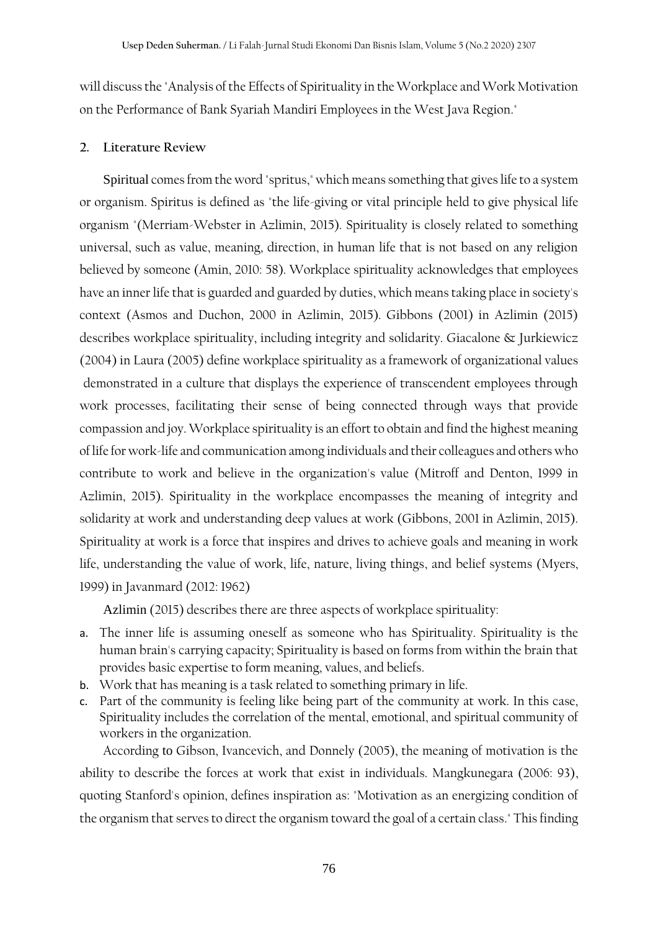will discuss the "Analysis of the Effects of Spirituality in the Workplace and Work Motivation on the Performance of Bank Syariah Mandiri Employees in the West Java Region."

#### **2. Literature Review**

Spiritual comes from the word "spritus," which means something that gives life to a system or organism. Spiritus is defined as "the life-giving or vital principle held to give physical life organism "(Merriam-Webster in Azlimin, 2015). Spirituality is closely related to something universal, such as value, meaning, direction, in human life that is not based on any religion believed by someone (Amin, 2010: 58). Workplace spirituality acknowledges that employees have an inner life that is guarded and guarded by duties, which means taking place in society's context (Asmos and Duchon, 2000 in Azlimin, 2015). Gibbons (2001) in Azlimin (2015) describes workplace spirituality, including integrity and solidarity. Giacalone & Jurkiewicz (2004) in Laura (2005) define workplace spirituality as a framework of organizational values demonstrated in a culture that displays the experience of transcendent employees through work processes, facilitating their sense of being connected through ways that provide compassion and joy. Workplace spirituality is an effort to obtain and find the highest meaning of life for work-life and communication among individuals and their colleagues and others who contribute to work and believe in the organization's value (Mitroff and Denton, 1999 in Azlimin, 2015). Spirituality in the workplace encompasses the meaning of integrity and solidarity at work and understanding deep values at work (Gibbons, 2001 in Azlimin, 2015). Spirituality at work is a force that inspires and drives to achieve goals and meaning in work life, understanding the value of work, life, nature, living things, and belief systems (Myers, 1999) in Javanmard (2012: 1962)

Azlimin (2015) describes there are three aspects of workplace spirituality:

- a. The inner life is assuming oneself as someone who has Spirituality. Spirituality is the human brain's carrying capacity; Spirituality is based on forms from within the brain that provides basic expertise to form meaning, values, and beliefs.
- b. Work that has meaning is a task related to something primary in life.
- c. Part of the community is feeling like being part of the community at work. In this case, Spirituality includes the correlation of the mental, emotional, and spiritual community of workers in the organization.

According to Gibson, Ivancevich, and Donnely (2005), the meaning of motivation is the ability to describe the forces at work that exist in individuals. Mangkunegara (2006: 93), quoting Stanford's opinion, defines inspiration as: "Motivation as an energizing condition of the organism that serves to direct the organism toward the goal of a certain class." This finding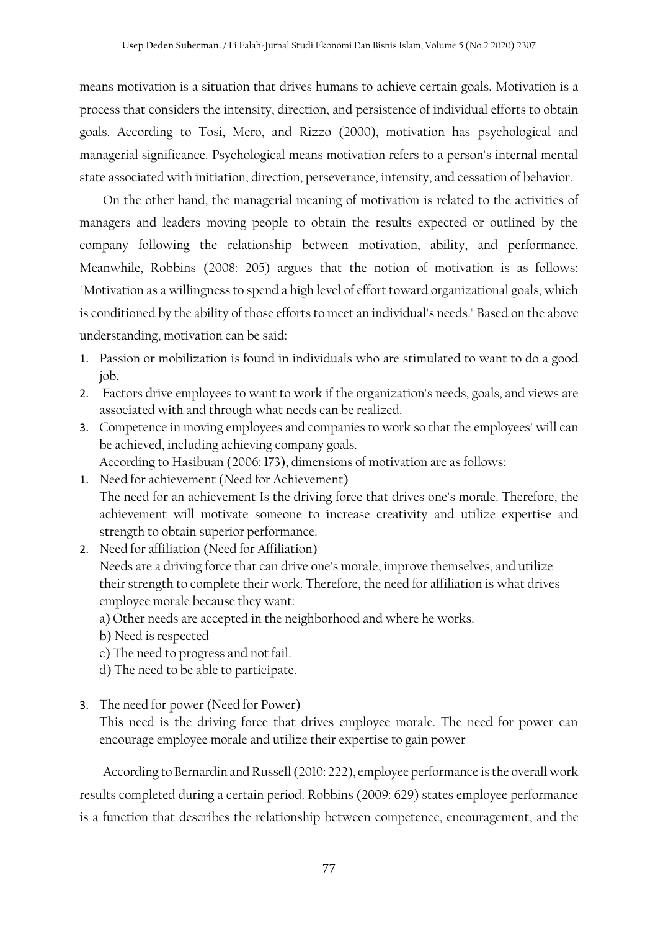means motivation is a situation that drives humans to achieve certain goals. Motivation is a process that considers the intensity, direction, and persistence of individual efforts to obtain goals. According to Tosi, Mero, and Rizzo (2000), motivation has psychological and managerial significance. Psychological means motivation refers to a person's internal mental state associated with initiation, direction, perseverance, intensity, and cessation of behavior.

On the other hand, the managerial meaning of motivation is related to the activities of managers and leaders moving people to obtain the results expected or outlined by the company following the relationship between motivation, ability, and performance. Meanwhile, Robbins (2008: 205) argues that the notion of motivation is as follows: "Motivation as a willingness to spend a high level of effort toward organizational goals, which is conditioned by the ability of those efforts to meet an individual's needs." Based on the above understanding, motivation can be said:

- 1. Passion or mobilization is found in individuals who are stimulated to want to do a good job.
- 2. Factors drive employees to want to work if the organization's needs, goals, and views are associated with and through what needs can be realized.
- 3. Competence in moving employees and companies to work so that the employees' will can be achieved, including achieving company goals. According to Hasibuan (2006: 173), dimensions of motivation are as follows:
- 1. Need for achievement (Need for Achievement) The need for an achievement Is the driving force that drives one's morale. Therefore, the achievement will motivate someone to increase creativity and utilize expertise and strength to obtain superior performance.
- 2. Need for affiliation (Need for Affiliation) Needs are a driving force that can drive one's morale, improve themselves, and utilize their strength to complete their work. Therefore, the need for affiliation is what drives employee morale because they want:
	- a) Other needs are accepted in the neighborhood and where he works.
	- b) Need is respected
	- c) The need to progress and not fail.
	- d) The need to be able to participate.
- 3. The need for power (Need for Power)

This need is the driving force that drives employee morale. The need for power can encourage employee morale and utilize their expertise to gain power

According to Bernardin and Russell (2010: 222), employee performance is the overall work results completed during a certain period. Robbins (2009: 629) states employee performance is a function that describes the relationship between competence, encouragement, and the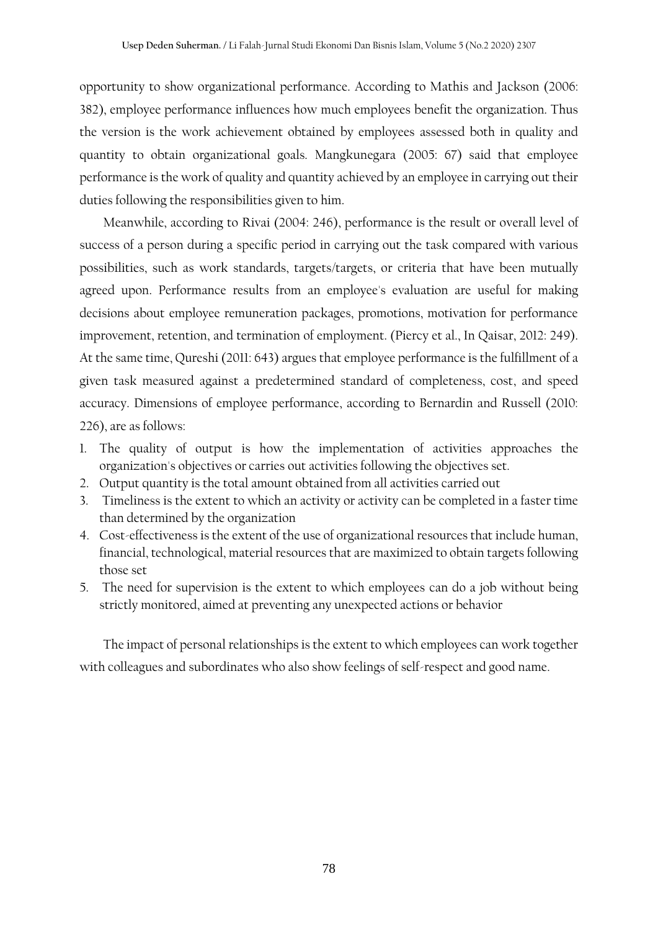opportunity to show organizational performance. According to Mathis and Jackson (2006: 382), employee performance influences how much employees benefit the organization. Thus the version is the work achievement obtained by employees assessed both in quality and quantity to obtain organizational goals. Mangkunegara (2005: 67) said that employee performance is the work of quality and quantity achieved by an employee in carrying out their duties following the responsibilities given to him.

Meanwhile, according to Rivai (2004: 246), performance is the result or overall level of success of a person during a specific period in carrying out the task compared with various possibilities, such as work standards, targets/targets, or criteria that have been mutually agreed upon. Performance results from an employee's evaluation are useful for making decisions about employee remuneration packages, promotions, motivation for performance improvement, retention, and termination of employment. (Piercy et al., In Qaisar, 2012: 249). At the same time, Qureshi (2011: 643) argues that employee performance is the fulfillment of a given task measured against a predetermined standard of completeness, cost, and speed accuracy. Dimensions of employee performance, according to Bernardin and Russell (2010: 226), are as follows:

- 1. The quality of output is how the implementation of activities approaches the organization's objectives or carries out activities following the objectives set.
- 2. Output quantity is the total amount obtained from all activities carried out
- 3. Timeliness is the extent to which an activity or activity can be completed in a faster time than determined by the organization
- 4. Cost-effectiveness is the extent of the use of organizational resources that include human, financial, technological, material resources that are maximized to obtain targets following those set
- 5. The need for supervision is the extent to which employees can do a job without being strictly monitored, aimed at preventing any unexpected actions or behavior

The impact of personal relationships is the extent to which employees can work together with colleagues and subordinates who also show feelings of self-respect and good name.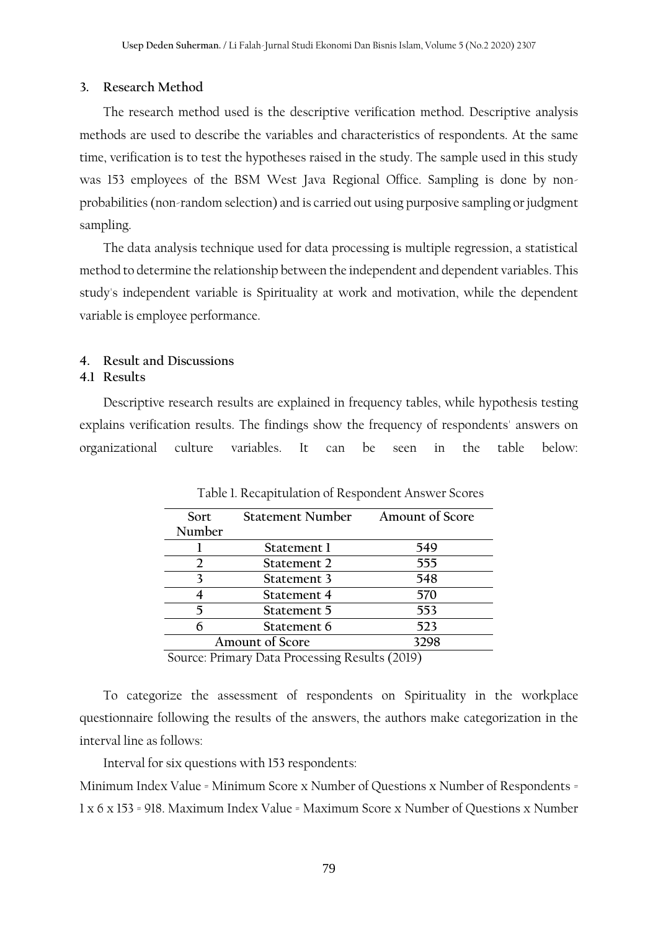#### **3. Research Method**

The research method used is the descriptive verification method. Descriptive analysis methods are used to describe the variables and characteristics of respondents. At the same time, verification is to test the hypotheses raised in the study. The sample used in this study was 153 employees of the BSM West Java Regional Office. Sampling is done by nonprobabilities (non-random selection) and is carried out using purposive sampling or judgment sampling.

The data analysis technique used for data processing is multiple regression, a statistical method to determine the relationship between the independent and dependent variables. This study's independent variable is Spirituality at work and motivation, while the dependent variable is employee performance.

## **4. Result and Discussions**

#### **4.1 Results**

Descriptive research results are explained in frequency tables, while hypothesis testing explains verification results. The findings show the frequency of respondents' answers on organizational culture variables. It can be seen in the table below:

| Sort   | <b>Statement Number</b>                                                                                                                                                                                                                                                     | Amount of Score |
|--------|-----------------------------------------------------------------------------------------------------------------------------------------------------------------------------------------------------------------------------------------------------------------------------|-----------------|
| Number |                                                                                                                                                                                                                                                                             |                 |
|        | Statement 1                                                                                                                                                                                                                                                                 | 549             |
|        | Statement 2                                                                                                                                                                                                                                                                 | 555             |
|        | Statement 3                                                                                                                                                                                                                                                                 | 548             |
|        | Statement 4                                                                                                                                                                                                                                                                 | 570             |
|        | Statement 5                                                                                                                                                                                                                                                                 | 553             |
|        | Statement 6                                                                                                                                                                                                                                                                 | 523             |
|        | <b>Amount of Score</b>                                                                                                                                                                                                                                                      | 3298            |
|        | $\overline{\phantom{a}}$<br>and the contract of the contract of the contract of the contract of the contract of the contract of the contract of the contract of the contract of the contract of the contract of the contract of the contract of the contra<br>$\sim$ $\sim$ | 1/2222          |

Table 1. Recapitulation of Respondent Answer Scores

Source: Primary Data Processing Results (2019)

To categorize the assessment of respondents on Spirituality in the workplace questionnaire following the results of the answers, the authors make categorization in the interval line as follows:

Interval for six questions with 153 respondents:

Minimum Index Value = Minimum Score x Number of Questions x Number of Respondents = 1 x 6 x 153 = 918. Maximum Index Value = Maximum Score x Number of Questions x Number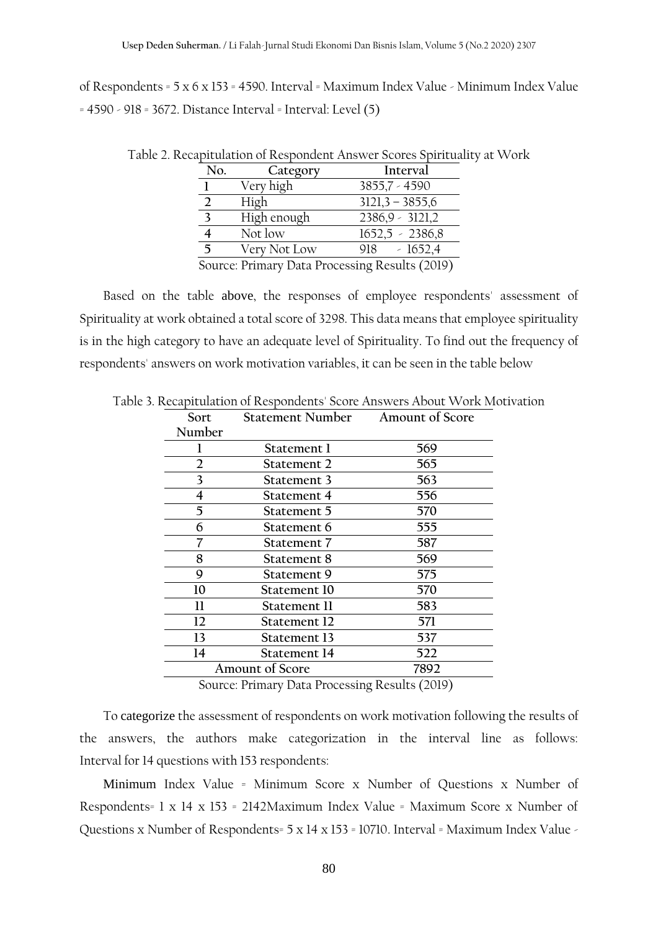of Respondents = 5 x 6 x 153 = 4590. Interval = Maximum Index Value - Minimum Index Value = 4590 - 918 = 3672. Distance Interval = Interval: Level (5)

| No. | Category     | Interval          |
|-----|--------------|-------------------|
|     | Very high    | 3855,7 - 4590     |
|     | High         | $3121,3 - 3855,6$ |
|     | High enough  | $2386,9 - 3121,2$ |
|     | Not low      | $1652,5 - 2386,8$ |
|     | Very Not Low | $-1652,4$<br>918. |
|     |              |                   |

Table 2. Recapitulation of Respondent Answer Scores Spirituality at Work

Source: Primary Data Processing Results (2019)

Based on the table above, the responses of employee respondents' assessment of Spirituality at work obtained a total score of 3298. This data means that employee spirituality is in the high category to have an adequate level of Spirituality. To find out the frequency of respondents' answers on work motivation variables, it can be seen in the table below

| Sort           | Statement Number Amount of Score |      |
|----------------|----------------------------------|------|
| Number         |                                  |      |
|                | Statement 1                      | 569  |
| $\overline{2}$ | Statement 2                      | 565  |
| 3              | Statement 3                      | 563  |
| 4              | Statement 4                      | 556  |
| 5              | Statement 5                      | 570  |
| 6              | Statement 6                      | 555  |
| 7              | Statement 7                      | 587  |
| 8              | Statement 8                      | 569  |
| 9              | Statement 9                      | 575  |
| 10             | Statement 10                     | 570  |
| 11             | Statement II                     | 583  |
| 12             | Statement 12                     | 571  |
| 13             | Statement 13                     | 537  |
| 14             | Statement 14                     | 522  |
|                | <b>Amount of Score</b>           | 7892 |
|                |                                  |      |

Table 3. Recapitulation of Respondents' Score Answers About Work Motivation

Source: Primary Data Processing Results (2019)

To categorize the assessment of respondents on work motivation following the results of the answers, the authors make categorization in the interval line as follows: Interval for 14 questions with 153 respondents:

Minimum Index Value = Minimum Score x Number of Questions x Number of Respondents= 1 x 14 x 153 = 2142Maximum Index Value = Maximum Score x Number of Questions x Number of Respondents= 5 x 14 x 153 = 10710. Interval = Maximum Index Value -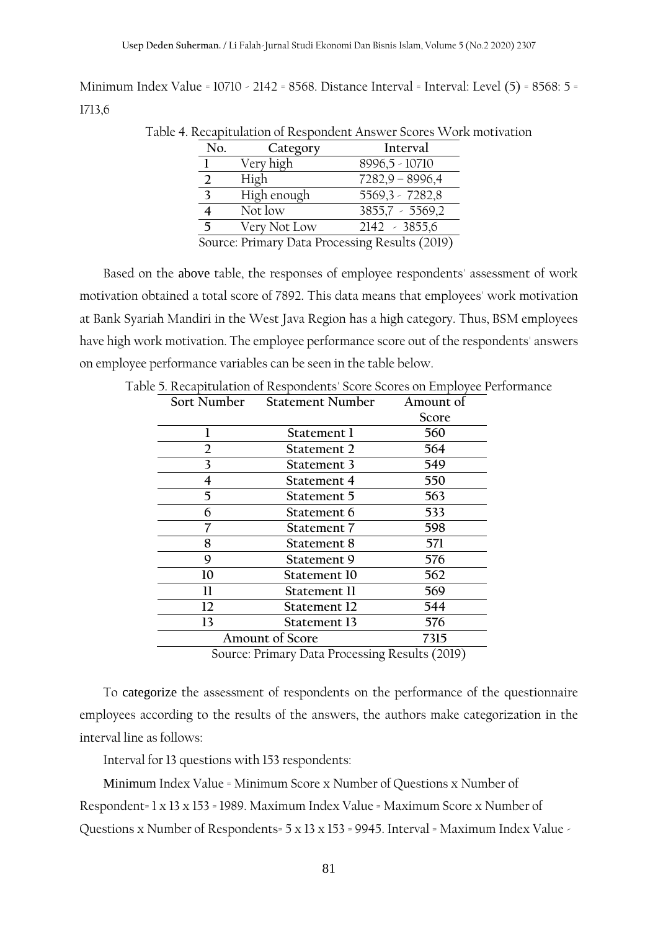Minimum Index Value = 10710 - 2142 = 8568. Distance Interval = Interval: Level (5) = 8568: 5 = 1713,6

|  | Table 4. Recapitulation of Respondent Answer Scores Work motivation |  |
|--|---------------------------------------------------------------------|--|
|  |                                                                     |  |

| No. | Category     | Interval                                                                                  |
|-----|--------------|-------------------------------------------------------------------------------------------|
|     | Very high    | 8996,5 - 10710                                                                            |
|     | High         | $7282,9 - 8996,4$                                                                         |
|     | High enough  | 5569,3 - 7282,8                                                                           |
|     | Not low      | $3855,7 - 5569,2$                                                                         |
| 5   | Very Not Low | $2142 - 3855,6$                                                                           |
|     |              | $S_{\text{out}}$ $\sum_{n=1}^{\infty} D_{\text{out}}$ $\sum_{n=1}^{\infty} D_{\text{in}}$ |

Source: Primary Data Processing Results (2019)

Based on the above table, the responses of employee respondents' assessment of work motivation obtained a total score of 7892. This data means that employees' work motivation at Bank Syariah Mandiri in the West Java Region has a high category. Thus, BSM employees have high work motivation. The employee performance score out of the respondents' answers on employee performance variables can be seen in the table below.

| Sort Number | <b>Statement Number</b> | Amount of |
|-------------|-------------------------|-----------|
|             |                         | Score     |
|             | Statement 1             | 560       |
| 2           | Statement 2             | 564       |
| 3           | Statement 3             | 549       |
| 4           | Statement 4             | 550       |
| 5           | Statement 5             | 563       |
| 6           | Statement 6             | 533       |
|             | Statement 7             | 598       |
| 8           | Statement 8             | 571       |
| 9           | Statement 9             | 576       |
| 10          | Statement 10            | 562       |
| Н           | Statement 11            | 569       |
| 12          | Statement 12            | 544       |
| 13          | Statement 13            | 576       |
|             | <b>Amount of Score</b>  | 7315      |

|  |  | Table 5. Recapitulation of Respondents' Score Scores on Emplovee Performance |
|--|--|------------------------------------------------------------------------------|
|  |  |                                                                              |

Source: Primary Data Processing Results (2019)

To categorize the assessment of respondents on the performance of the questionnaire employees according to the results of the answers, the authors make categorization in the interval line as follows:

Interval for 13 questions with 153 respondents:

Minimum Index Value = Minimum Score x Number of Questions x Number of Respondent= 1 x 13 x 153 = 1989. Maximum Index Value = Maximum Score x Number of Questions x Number of Respondents= 5 x 13 x 153 = 9945. Interval = Maximum Index Value -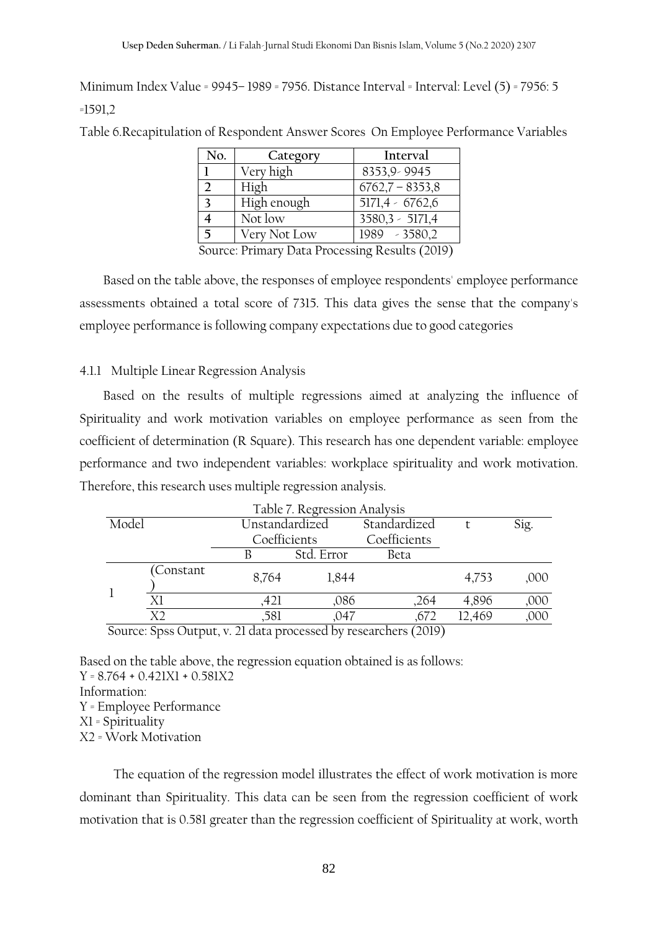Minimum Index Value = 9945– 1989 = 7956. Distance Interval = Interval: Level (5) = 7956: 5 =1591,2

Table 6.Recapitulation of Respondent Answer Scores On Employee Performance Variables

| No.          | Category     | Interval               |
|--------------|--------------|------------------------|
|              | Very high    | 8353,9 - 9945          |
|              | High         | $6762,7 - 8353,8$      |
| $\mathbf{z}$ | High enough  | $5171,4 - 6762,6$      |
|              | Not low      | $3580,3 - 5171,4$      |
| 5            | Very Not Low | 1989 - 3580,2          |
| $\cap$       | n ·<br>n.    | 1.7010<br>$\mathbf{L}$ |

Source: Primary Data Processing Results (2019)

Based on the table above, the responses of employee respondents' employee performance assessments obtained a total score of 7315. This data gives the sense that the company's employee performance is following company expectations due to good categories

## 4.1.1 Multiple Linear Regression Analysis

Based on the results of multiple regressions aimed at analyzing the influence of Spirituality and work motivation variables on employee performance as seen from the coefficient of determination (R Square). This research has one dependent variable: employee performance and two independent variables: workplace spirituality and work motivation. Therefore, this research uses multiple regression analysis.

|       |                                                                                                                 |                | Table 7. Regression Analysis |              |        |       |
|-------|-----------------------------------------------------------------------------------------------------------------|----------------|------------------------------|--------------|--------|-------|
| Model |                                                                                                                 | Unstandardized |                              | Standardized |        | Sig.  |
|       |                                                                                                                 |                | Coefficients                 |              |        |       |
|       |                                                                                                                 |                | Std. Error                   | Beta         |        |       |
|       | Constant                                                                                                        | 8,764          | 1,844                        |              | 4,753  | ,000. |
|       | Χl                                                                                                              | .421           | .086                         | ,264         | 4,896  | ,000  |
|       | X <sub>2</sub>                                                                                                  | ,581           | ,047                         | .672         | 12,469 | ,000  |
|       | $C_{\text{current}}$ , $C_{\text{tree}}$ , $O_{\text{turb}}$ , $\sim$ 21 data measured by measured and $(2010)$ |                |                              |              |        |       |

Source: Spss Output, v. 21 data processed by researchers (2019)

Based on the table above, the regression equation obtained is as follows:  $Y = 8.764 + 0.421X1 + 0.581X2$ Information: Y = Employee Performance X1 = Spirituality X2 = Work Motivation

 The equation of the regression model illustrates the effect of work motivation is more dominant than Spirituality. This data can be seen from the regression coefficient of work motivation that is 0.581 greater than the regression coefficient of Spirituality at work, worth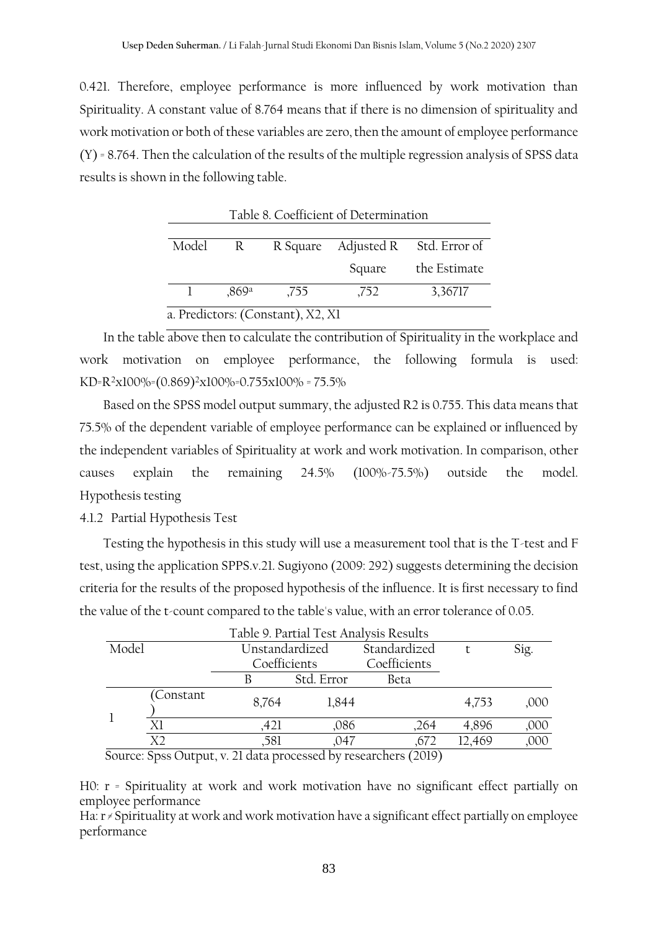0.421. Therefore, employee performance is more influenced by work motivation than Spirituality. A constant value of 8.764 means that if there is no dimension of spirituality and work motivation or both of these variables are zero, then the amount of employee performance (Y) = 8.764. Then the calculation of the results of the multiple regression analysis of SPSS data results is shown in the following table.

| Model                             | $\mathbb{R}$ |      |        | R Square Adjusted R Std. Error of |  |  |
|-----------------------------------|--------------|------|--------|-----------------------------------|--|--|
|                                   |              |      | Square | the Estimate                      |  |  |
|                                   | 0.869a       | .755 | ,752   | 3,36717                           |  |  |
| a. Predictors: (Constant), X2, X1 |              |      |        |                                   |  |  |

Table 8. Coefficient of Determination

In the table above then to calculate the contribution of Spirituality in the workplace and work motivation on employee performance, the following formula is used: KD=R<sup>2</sup>x100%=(0.869)<sup>2</sup>x100%=0.755x100% = 75.5%

Based on the SPSS model output summary, the adjusted R2 is 0.755. This data means that 75.5% of the dependent variable of employee performance can be explained or influenced by the independent variables of Spirituality at work and work motivation. In comparison, other causes explain the remaining 24.5% (100%-75.5%) outside the model. Hypothesis testing

4.1.2 Partial Hypothesis Test

Testing the hypothesis in this study will use a measurement tool that is the T-test and F test, using the application SPPS.v.21. Sugiyono (2009: 292) suggests determining the decision criteria for the results of the proposed hypothesis of the influence. It is first necessary to find the value of the t-count compared to the table's value, with an error tolerance of 0.05.

|       | Table 9. Partial Test Analysis Results |                |              |                                                                     |        |      |
|-------|----------------------------------------|----------------|--------------|---------------------------------------------------------------------|--------|------|
| Model |                                        | Unstandardized |              | Standardized                                                        |        | Sig. |
|       |                                        |                | Coefficients |                                                                     |        |      |
|       |                                        |                | Std. Error   | Beta                                                                |        |      |
|       | Constant                               | 8,764          | 1,844        |                                                                     | 4,753  | ,000 |
|       | Χl                                     | ,421           | .086         | .264                                                                | 4,896  | ,000 |
|       | X <sub>2</sub>                         | ,581           | .047         | .672                                                                | 12,469 | ,000 |
|       |                                        |                |              | Course Cross Outure -: 21 data une second large received and (2010) |        |      |

Source: Spss Output, v. 21 data processed by researchers (2019)

H0: r = Spirituality at work and work motivation have no significant effect partially on employee performance

Ha: r ≠ Spirituality at work and work motivation have a significant effect partially on employee performance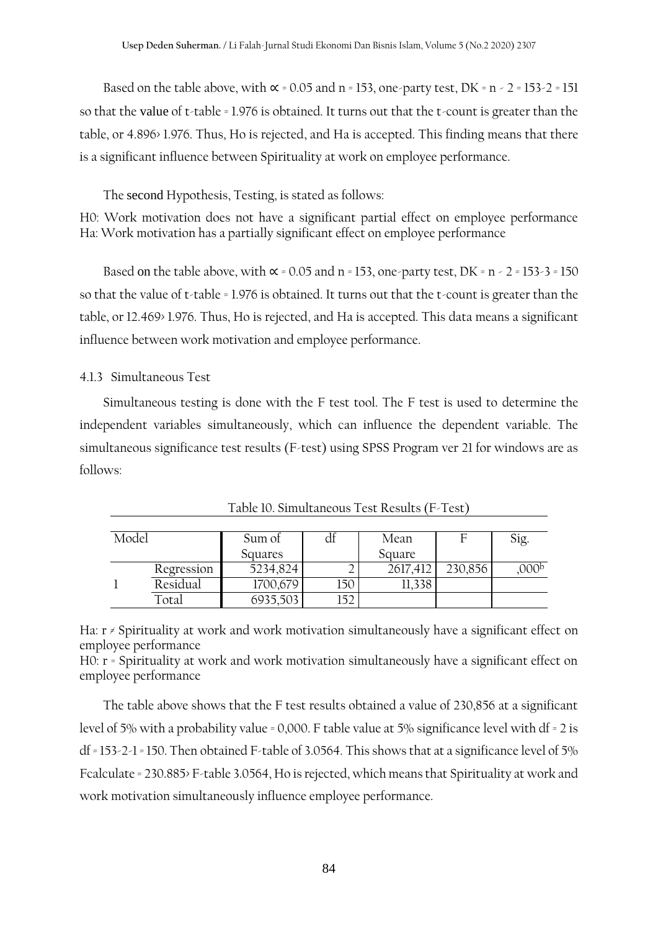Based on the table above, with  $\alpha$  = 0.05 and n = 153, one-party test, DK = n - 2 = 153-2 = 151 so that the value of t-table = 1.976 is obtained. It turns out that the t-count is greater than the table, or 4.896> 1.976. Thus, Ho is rejected, and Ha is accepted. This finding means that there is a significant influence between Spirituality at work on employee performance.

The second Hypothesis, Testing, is stated as follows:

H0: Work motivation does not have a significant partial effect on employee performance Ha: Work motivation has a partially significant effect on employee performance

Based on the table above, with  $\alpha$  = 0.05 and n = 153, one-party test, DK = n - 2 = 153-3 = 150 so that the value of t-table = 1.976 is obtained. It turns out that the t-count is greater than the table, or 12.469> 1.976. Thus, Ho is rejected, and Ha is accepted. This data means a significant influence between work motivation and employee performance.

### 4.1.3 Simultaneous Test

Simultaneous testing is done with the F test tool. The F test is used to determine the independent variables simultaneously, which can influence the dependent variable. The simultaneous significance test results (F-test) using SPSS Program ver 21 for windows are as follows:

| Model |            | Sum of   | αI  | Mean     | ь       | Sig.             |
|-------|------------|----------|-----|----------|---------|------------------|
|       |            | Squares  |     | Square   |         |                  |
|       | Regression | 5234,824 |     | 2617,412 | 230,856 | )00 <sup>b</sup> |
|       | Residual   | 1700,679 | l50 | ,338     |         |                  |
|       | Total      | 6935,503 | 52  |          |         |                  |

Table 10. Simultaneous Test Results (F-Test)

Ha: r ≠ Spirituality at work and work motivation simultaneously have a significant effect on employee performance

H0: r = Spirituality at work and work motivation simultaneously have a significant effect on employee performance

The table above shows that the F test results obtained a value of 230,856 at a significant level of 5% with a probability value = 0,000. F table value at 5% significance level with df = 2 is df = 153-2-1 = 150. Then obtained F-table of 3.0564. This shows that at a significance level of 5% Fcalculate = 230.885> F-table 3.0564, Ho is rejected, which means that Spirituality at work and work motivation simultaneously influence employee performance.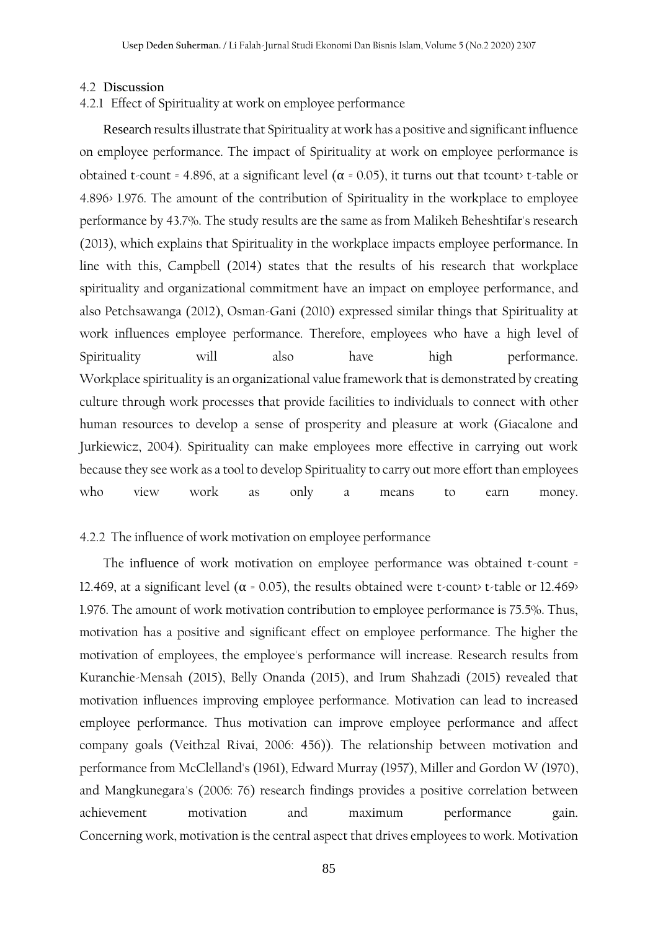#### 4.2 **Discussion**

## 4.2.1 Effect of Spirituality at work on employee performance

Research results illustrate that Spirituality at work has a positive and significant influence on employee performance. The impact of Spirituality at work on employee performance is obtained t-count = 4.896, at a significant level ( $\alpha$  = 0.05), it turns out that tcount> t-table or 4.896> 1.976. The amount of the contribution of Spirituality in the workplace to employee performance by 43.7%. The study results are the same as from Malikeh Beheshtifar's research (2013), which explains that Spirituality in the workplace impacts employee performance. In line with this, Campbell (2014) states that the results of his research that workplace spirituality and organizational commitment have an impact on employee performance, and also Petchsawanga (2012), Osman-Gani (2010) expressed similar things that Spirituality at work influences employee performance. Therefore, employees who have a high level of Spirituality will also have high performance. Workplace spirituality is an organizational value framework that is demonstrated by creating culture through work processes that provide facilities to individuals to connect with other human resources to develop a sense of prosperity and pleasure at work (Giacalone and Jurkiewicz, 2004). Spirituality can make employees more effective in carrying out work because they see work as a tool to develop Spirituality to carry out more effort than employees who view work as only a means to earn money.

### 4.2.2 The influence of work motivation on employee performance

The influence of work motivation on employee performance was obtained t-count = 12.469, at a significant level ( $\alpha$  = 0.05), the results obtained were t-count> t-table or 12.469> 1.976. The amount of work motivation contribution to employee performance is 75.5%. Thus, motivation has a positive and significant effect on employee performance. The higher the motivation of employees, the employee's performance will increase. Research results from Kuranchie-Mensah (2015), Belly Onanda (2015), and Irum Shahzadi (2015) revealed that motivation influences improving employee performance. Motivation can lead to increased employee performance. Thus motivation can improve employee performance and affect company goals (Veithzal Rivai, 2006: 456)). The relationship between motivation and performance from McClelland's (1961), Edward Murray (1957), Miller and Gordon W (1970), and Mangkunegara's (2006: 76) research findings provides a positive correlation between achievement motivation and maximum performance gain. Concerning work, motivation is the central aspect that drives employees to work. Motivation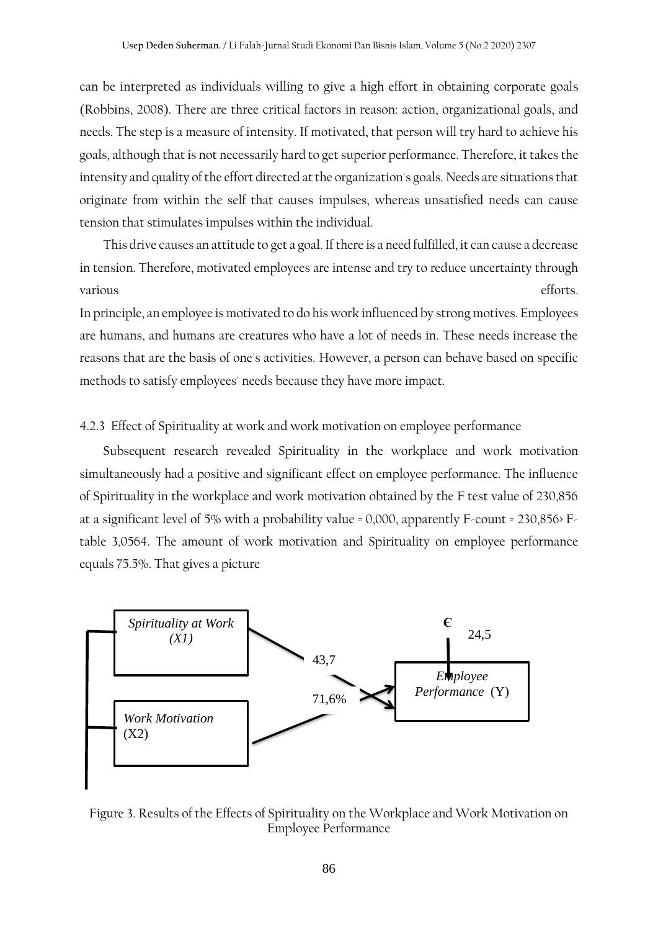can be interpreted as individuals willing to give a high effort in obtaining corporate goals (Robbins, 2008). There are three critical factors in reason: action, organizational goals, and needs. The step is a measure of intensity. If motivated, that person will try hard to achieve his goals, although that is not necessarily hard to get superior performance. Therefore, it takes the intensity and quality of the effort directed at the organization's goals. Needs are situations that originate from within the self that causes impulses, whereas unsatisfied needs can cause tension that stimulates impulses within the individual.

This drive causes an attitude to get a goal. If there is a need fulfilled, it can cause a decrease in tension. Therefore, motivated employees are intense and try to reduce uncertainty through various efforts.

In principle, an employee is motivated to do his work influenced by strong motives. Employees are humans, and humans are creatures who have a lot of needs in. These needs increase the reasons that are the basis of one's activities. However, a person can behave based on specific methods to satisfy employees' needs because they have more impact.

#### 4.2.3 Effect of Spirituality at work and work motivation on employee performance

Subsequent research revealed Spirituality in the workplace and work motivation simultaneously had a positive and significant effect on employee performance. The influence of Spirituality in the workplace and work motivation obtained by the F test value of 230,856 at a significant level of 5% with a probability value = 0,000, apparently F-count = 230,856> Ftable 3,0564. The amount of work motivation and Spirituality on employee performance equals 75.5%. That gives a picture



Figure 3. Results of the Effects of Spirituality on the Workplace and Work Motivation on Employee Performance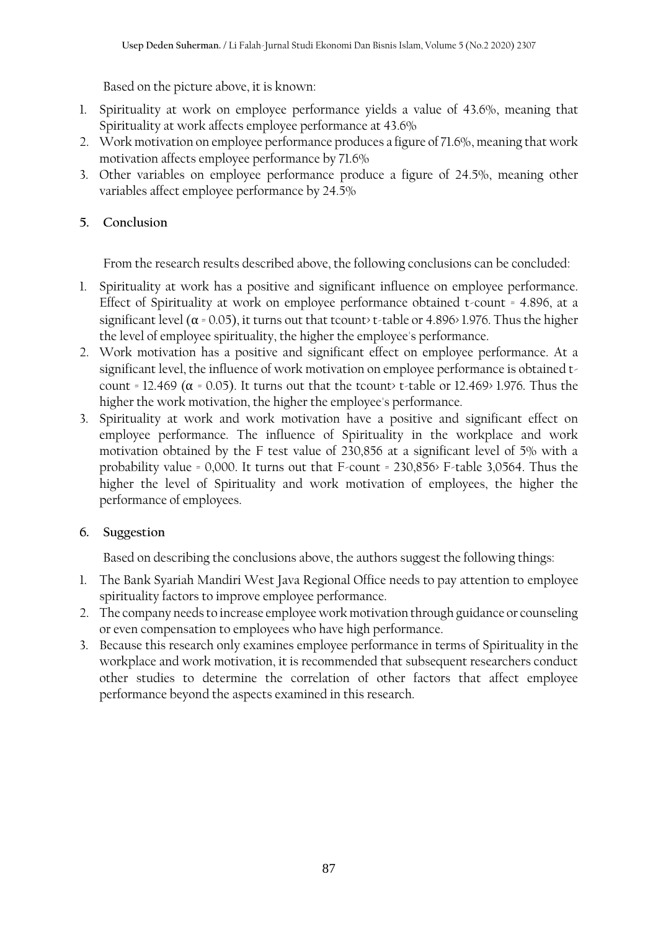Based on the picture above, it is known:

- 1. Spirituality at work on employee performance yields a value of 43.6%, meaning that Spirituality at work affects employee performance at 43.6%
- 2. Work motivation on employee performance produces a figure of 71.6%, meaning that work motivation affects employee performance by 71.6%
- 3. Other variables on employee performance produce a figure of 24.5%, meaning other variables affect employee performance by 24.5%

# **5. Conclusion**

From the research results described above, the following conclusions can be concluded:

- 1. Spirituality at work has a positive and significant influence on employee performance. Effect of Spirituality at work on employee performance obtained t-count = 4.896, at a significant level ( $\alpha$  = 0.05), it turns out that tcount> t-table or 4.896> 1.976. Thus the higher the level of employee spirituality, the higher the employee's performance.
- 2. Work motivation has a positive and significant effect on employee performance. At a significant level, the influence of work motivation on employee performance is obtained tcount = 12.469 ( $\alpha$  = 0.05). It turns out that the tcount> t-table or 12.469> 1.976. Thus the higher the work motivation, the higher the employee's performance.
- 3. Spirituality at work and work motivation have a positive and significant effect on employee performance. The influence of Spirituality in the workplace and work motivation obtained by the F test value of 230,856 at a significant level of 5% with a probability value = 0,000. It turns out that F-count = 230,856> F-table 3,0564. Thus the higher the level of Spirituality and work motivation of employees, the higher the performance of employees.

# **6. Suggestion**

Based on describing the conclusions above, the authors suggest the following things:

- 1. The Bank Syariah Mandiri West Java Regional Office needs to pay attention to employee spirituality factors to improve employee performance.
- 2. The company needs to increase employee work motivation through guidance or counseling or even compensation to employees who have high performance.
- 3. Because this research only examines employee performance in terms of Spirituality in the workplace and work motivation, it is recommended that subsequent researchers conduct other studies to determine the correlation of other factors that affect employee performance beyond the aspects examined in this research.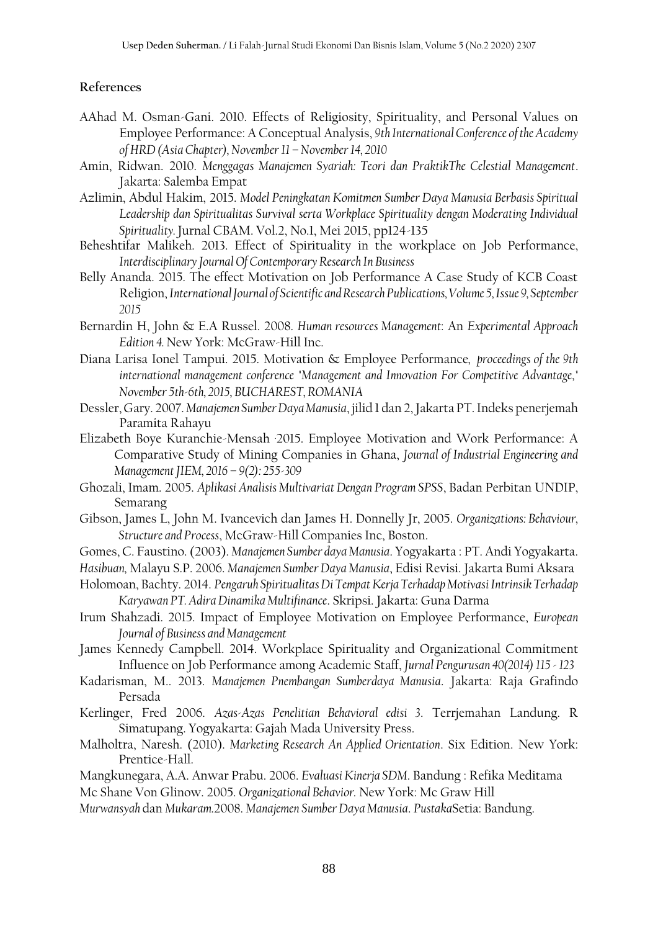## **References**

- AAhad M. Osman-Gani. 2010. Effects of Religiosity, Spirituality, and Personal Values on Employee Performance: A Conceptual Analysis, *9th International Conference of the Academy of HRD (Asia Chapter), November 11 –November 14, 2010*
- Amin, Ridwan. 2010. *Menggagas Manajemen Syariah: Teori dan PraktikThe Celestial Management*. Jakarta: Salemba Empat
- Azlimin, Abdul Hakim, 2015. *Model Peningkatan Komitmen Sumber Daya Manusia Berbasis Spiritual Leadership dan Spiritualitas Survival serta Workplace Spirituality dengan Moderating Individual Spirituality.* Jurnal CBAM. Vol.2, No.1, Mei 2015, pp124-135
- Beheshtifar Malikeh. 2013. Effect of Spirituality in the workplace on Job Performance, *Interdisciplinary Journal Of Contemporary Research In Business*
- Belly Ananda. 2015. The effect Motivation on Job Performance A Case Study of KCB Coast Religion, *International Journal of Scientific and Research Publications, Volume 5, Issue 9, September 2015*
- Bernardin H, John & E.A Russel. 2008. *Human resources Management*: An *Experimental Approach Edition 4.* New York: McGraw-Hill Inc.
- Diana Larisa Ionel Tampui. 2015. Motivation & Employee Performance*, proceedings of the 9th international management conference "Management and Innovation For Competitive Advantage," November 5th-6th, 2015, BUCHAREST, ROMANIA*
- Dessler, Gary. 2007. *Manajemen Sumber Daya Manusia*, jilid 1 dan 2, Jakarta PT. Indeks penerjemah Paramita Rahayu
- Elizabeth Boye Kuranchie-Mensah .2015. Employee Motivation and Work Performance: A Comparative Study of Mining Companies in Ghana, *Journal of Industrial Engineering and Management JIEM, 2016 – 9(2): 255-309*
- Ghozali, Imam. 2005. *Aplikasi Analisis Multivariat Dengan Program SPSS*, Badan Perbitan UNDIP, Semarang
- Gibson, James L, John M. Ivancevich dan James H. Donnelly Jr, 2005. *Organizations: Behaviour, Structure and Process*, McGraw-Hill Companies Inc, Boston.
- Gomes, C. Faustino. (2003). *Manajemen Sumber daya Manusia*. Yogyakarta : PT. Andi Yogyakarta.
- *Hasibuan,* Malayu S.P. 2006. *Manajemen Sumber Daya Manusia*, Edisi Revisi. Jakarta Bumi Aksara
- Holomoan, Bachty. 2014. *Pengaruh Spiritualitas Di Tempat Kerja Terhadap Motivasi Intrinsik Terhadap Karyawan PT. Adira Dinamika Multifinance*. Skripsi. Jakarta: Guna Darma
- Irum Shahzadi. 2015. Impact of Employee Motivation on Employee Performance, *European Journal of Business and Management*
- James Kennedy Campbell. 2014. Workplace Spirituality and Organizational Commitment Influence on Job Performance among Academic Staff, *Jurnal Pengurusan 40(2014) 115 -123*
- Kadarisman, M.. 2013. *Manajemen Pnembangan Sumberdaya Manusia*. Jakarta: Raja Grafindo Persada
- Kerlinger, Fred 2006. *Azas-Azas Penelitian Behavioral edisi 3*. Terrjemahan Landung. R Simatupang. Yogyakarta: Gajah Mada University Press.
- Malholtra, Naresh. (2010). *Marketing Research An Applied Orientation*. Six Edition. New York: Prentice-Hall.
- Mangkunegara, A.A. Anwar Prabu. 2006. *Evaluasi Kinerja SDM*. Bandung : Refika Meditama Mc Shane Von Glinow. 2005. *Organizational Behavior.* New York: Mc Graw Hill

*Murwansyah* dan *Mukaram.*2008. *Manajemen Sumber Daya Manusia*. *Pustaka*Setia: Bandung.